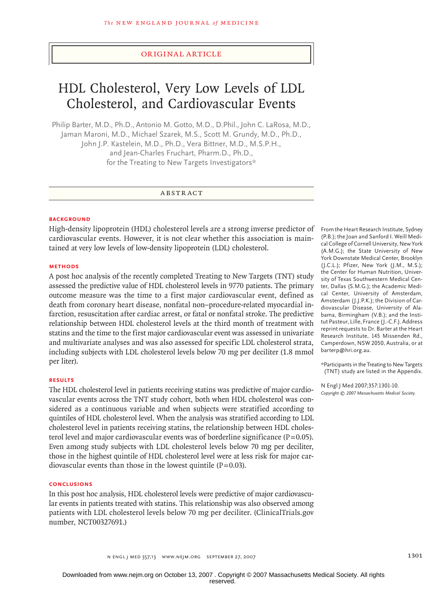## original article

# HDL Cholesterol, Very Low Levels of LDL Cholesterol, and Cardiovascular Events

Philip Barter, M.D., Ph.D., Antonio M. Gotto, M.D., D.Phil., John C. LaRosa, M.D., Jaman Maroni, M.D., Michael Szarek, M.S., Scott M. Grundy, M.D., Ph.D., John J.P. Kastelein, M.D., Ph.D., Vera Bittner, M.D., M.S.P.H., and Jean-Charles Fruchart, Pharm.D., Ph.D., for the Treating to New Targets Investigators\*

# **ABSTRACT**

#### **BACKGROUND**

High-density lipoprotein (HDL) cholesterol levels are a strong inverse predictor of cardiovascular events. However, it is not clear whether this association is maintained at very low levels of low-density lipoprotein (LDL) cholesterol.

#### **METHODS**

A post hoc analysis of the recently completed Treating to New Targets (TNT) study assessed the predictive value of HDL cholesterol levels in 9770 patients. The primary outcome measure was the time to a first major cardiovascular event, defined as death from coronary heart disease, nonfatal non–procedure-related myocardial infarction, resuscitation after cardiac arrest, or fatal or nonfatal stroke. The predictive relationship between HDL cholesterol levels at the third month of treatment with statins and the time to the first major cardiovascular event was assessed in univariate and multivariate analyses and was also assessed for specific LDL cholesterol strata, including subjects with LDL cholesterol levels below 70 mg per deciliter (1.8 mmol per liter).

## **RESULTS**

The HDL cholesterol level in patients receiving statins was predictive of major cardiovascular events across the TNT study cohort, both when HDL cholesterol was considered as a continuous variable and when subjects were stratified according to quintiles of HDL cholesterol level. When the analysis was stratified according to LDL cholesterol level in patients receiving statins, the relationship between HDL cholesterol level and major cardiovascular events was of borderline significance ( $P=0.05$ ). Even among study subjects with LDL cholesterol levels below 70 mg per deciliter, those in the highest quintile of HDL cholesterol level were at less risk for major cardiovascular events than those in the lowest quintile  $(P=0.03)$ .

## **CONCLUSIONS**

In this post hoc analysis, HDL cholesterol levels were predictive of major cardiovascular events in patients treated with statins. This relationship was also observed among patients with LDL cholesterol levels below 70 mg per deciliter. (ClinicalTrials.gov number, NCT00327691.)

From the Heart Research Institute, Sydney (P.B.); the Joan and Sanford I. Weill Medical College of Cornell University, New York (A.M.G.); the State University of New York Downstate Medical Center, Brooklyn (J.C.L.); Pfizer, New York (J.M., M.S.); the Center for Human Nutrition, University of Texas Southwestern Medical Center, Dallas (S.M.G.); the Academic Medical Center, University of Amsterdam, Amsterdam (J.J.P.K.); the Division of Cardiovascular Disease, University of Alabama, Birmingham (V.B.); and the Institut Pasteur, Lille, France (J.-C.F.). Address reprint requests to Dr. Barter at the Heart Research Institute, 145 Missenden Rd., Camperdown, NSW 2050, Australia, or at barterp@hri.org.au.

\*Participants in the Treating to New Targets (TNT) study are listed in the Appendix.

N Engl J Med 2007;357:1301-10. *Copyright © 2007 Massachusetts Medical Society.*

n engl j med 357;13 www.nejm.org september 27, 2007 1301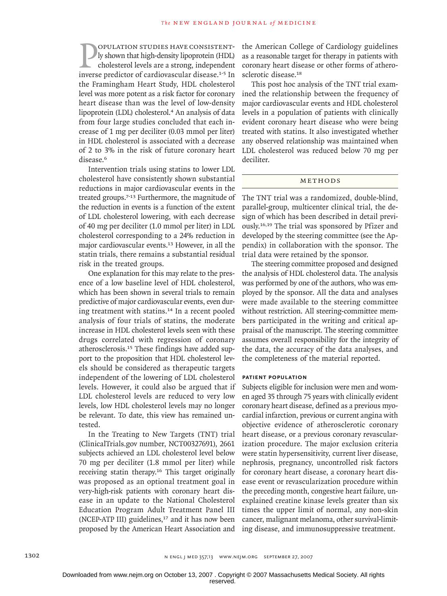**POPULATION STUDIES HAVE CONSISTENT-**<br>ly shown that high-density lipoprotein (HDL)<br>cholesterol levels are a strong, independent<br>inverse predictor of cardiovascular disease.<sup>1-5</sup> In ly shown that high-density lipoprotein (HDL) cholesterol levels are a strong, independent the Framingham Heart Study, HDL cholesterol level was more potent as a risk factor for coronary heart disease than was the level of low-density lipoprotein (LDL) cholesterol.4 An analysis of data from four large studies concluded that each increase of 1 mg per deciliter (0.03 mmol per liter) in HDL cholesterol is associated with a decrease of 2 to 3% in the risk of future coronary heart disease.<sup>6</sup>

Intervention trials using statins to lower LDL cholesterol have consistently shown substantial reductions in major cardiovascular events in the treated groups.7-13 Furthermore, the magnitude of the reduction in events is a function of the extent of LDL cholesterol lowering, with each decrease of 40 mg per deciliter (1.0 mmol per liter) in LDL cholesterol corresponding to a 24% reduction in major cardiovascular events.<sup>13</sup> However, in all the statin trials, there remains a substantial residual risk in the treated groups.

One explanation for this may relate to the presence of a low baseline level of HDL cholesterol, which has been shown in several trials to remain predictive of major cardiovascular events, even during treatment with statins.14 In a recent pooled analysis of four trials of statins, the moderate increase in HDL cholesterol levels seen with these drugs correlated with regression of coronary atherosclerosis.15 These findings have added support to the proposition that HDL cholesterol levels should be considered as therapeutic targets independent of the lowering of LDL cholesterol levels. However, it could also be argued that if LDL cholesterol levels are reduced to very low levels, low HDL cholesterol levels may no longer be relevant. To date, this view has remained untested.

In the Treating to New Targets (TNT) trial (ClinicalTrials.gov number, NCT00327691), 2661 subjects achieved an LDL cholesterol level below 70 mg per deciliter (1.8 mmol per liter) while receiving statin therapy.16 This target originally was proposed as an optional treatment goal in very-high-risk patients with coronary heart disease in an update to the National Cholesterol Education Program Adult Treatment Panel III (NCEP-ATP III) guidelines, $17$  and it has now been proposed by the American Heart Association and the American College of Cardiology guidelines as a reasonable target for therapy in patients with coronary heart disease or other forms of atherosclerotic disease.<sup>18</sup>

This post hoc analysis of the TNT trial examined the relationship between the frequency of major cardiovascular events and HDL cholesterol levels in a population of patients with clinically evident coronary heart disease who were being treated with statins. It also investigated whether any observed relationship was maintained when LDL cholesterol was reduced below 70 mg per deciliter.

#### METHODS

The TNT trial was a randomized, double-blind, parallel-group, multicenter clinical trial, the design of which has been described in detail previously.16,19 The trial was sponsored by Pfizer and developed by the steering committee (see the Appendix) in collaboration with the sponsor. The trial data were retained by the sponsor.

The steering committee proposed and designed the analysis of HDL cholesterol data. The analysis was performed by one of the authors, who was employed by the sponsor. All the data and analyses were made available to the steering committee without restriction. All steering-committee members participated in the writing and critical appraisal of the manuscript. The steering committee assumes overall responsibility for the integrity of the data, the accuracy of the data analyses, and the completeness of the material reported.

#### **Patient Population**

Subjects eligible for inclusion were men and women aged 35 through 75 years with clinically evident coronary heart disease, defined as a previous myocardial infarction, previous or current angina with objective evidence of atherosclerotic coronary heart disease, or a previous coronary revascularization procedure. The major exclusion criteria were statin hypersensitivity, current liver disease, nephrosis, pregnancy, uncontrolled risk factors for coronary heart disease, a coronary heart disease event or revascularization procedure within the preceding month, congestive heart failure, unexplained creatine kinase levels greater than six times the upper limit of normal, any non-skin cancer, malignant melanoma, other survival-limiting disease, and immunosuppressive treatment.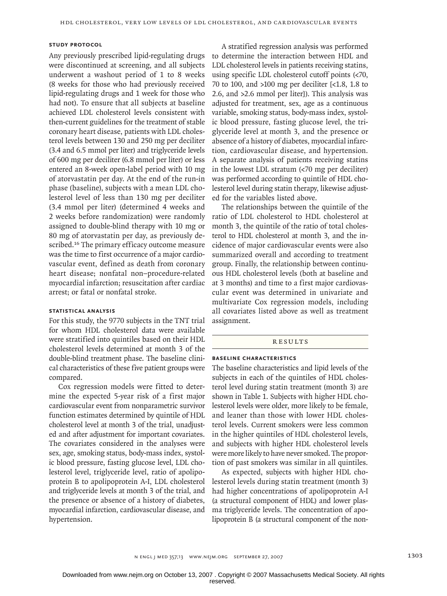## **Study Protocol**

Any previously prescribed lipid-regulating drugs were discontinued at screening, and all subjects underwent a washout period of 1 to 8 weeks (8 weeks for those who had previously received lipid-regulating drugs and 1 week for those who had not). To ensure that all subjects at baseline achieved LDL cholesterol levels consistent with then-current guidelines for the treatment of stable coronary heart disease, patients with LDL cholesterol levels between 130 and 250 mg per deciliter (3.4 and 6.5 mmol per liter) and triglyceride levels of 600 mg per deciliter (6.8 mmol per liter) or less entered an 8-week open-label period with 10 mg of atorvastatin per day. At the end of the run-in phase (baseline), subjects with a mean LDL cholesterol level of less than 130 mg per deciliter (3.4 mmol per liter) (determined 4 weeks and 2 weeks before randomization) were randomly assigned to double-blind therapy with 10 mg or 80 mg of atorvastatin per day, as previously described.<sup>16</sup> The primary efficacy outcome measure was the time to first occurrence of a major cardiovascular event, defined as death from coronary heart disease; nonfatal non–procedure-related myocardial infarction; resuscitation after cardiac arrest; or fatal or nonfatal stroke.

# **Statistical Analysis**

For this study, the 9770 subjects in the TNT trial for whom HDL cholesterol data were available were stratified into quintiles based on their HDL cholesterol levels determined at month 3 of the double-blind treatment phase. The baseline clinical characteristics of these five patient groups were compared.

Cox regression models were fitted to determine the expected 5-year risk of a first major cardiovascular event from nonparametric survivor function estimates determined by quintile of HDL cholesterol level at month 3 of the trial, unadjusted and after adjustment for important covariates. The covariates considered in the analyses were sex, age, smoking status, body-mass index, systolic blood pressure, fasting glucose level, LDL cholesterol level, triglyceride level, ratio of apolipoprotein B to apolipoprotein A-I, LDL cholesterol and triglyceride levels at month 3 of the trial, and the presence or absence of a history of diabetes, myocardial infarction, cardiovascular disease, and hypertension.

A stratified regression analysis was performed to determine the interaction between HDL and LDL cholesterol levels in patients receiving statins, using specific LDL cholesterol cutoff points (<70, 70 to 100, and >100 mg per deciliter [<1.8, 1.8 to 2.6, and >2.6 mmol per liter]). This analysis was adjusted for treatment, sex, age as a continuous variable, smoking status, body-mass index, systolic blood pressure, fasting glucose level, the triglyceride level at month 3, and the presence or absence of a history of diabetes, myocardial infarction, cardiovascular disease, and hypertension. A separate analysis of patients receiving statins in the lowest LDL stratum (<70 mg per deciliter) was performed according to quintile of HDL cholesterol level during statin therapy, likewise adjusted for the variables listed above.

The relationships between the quintile of the ratio of LDL cholesterol to HDL cholesterol at month 3, the quintile of the ratio of total cholesterol to HDL cholesterol at month 3, and the incidence of major cardiovascular events were also summarized overall and according to treatment group. Finally, the relationship between continuous HDL cholesterol levels (both at baseline and at 3 months) and time to a first major cardiovascular event was determined in univariate and multivariate Cox regression models, including all covariates listed above as well as treatment assignment.

#### **RESULTS**

#### **Baseline Characteristics**

The baseline characteristics and lipid levels of the subjects in each of the quintiles of HDL cholesterol level during statin treatment (month 3) are shown in Table 1. Subjects with higher HDL cholesterol levels were older, more likely to be female, and leaner than those with lower HDL cholesterol levels. Current smokers were less common in the higher quintiles of HDL cholesterol levels, and subjects with higher HDL cholesterol levels were more likely to have never smoked. The proportion of past smokers was similar in all quintiles.

As expected, subjects with higher HDL cholesterol levels during statin treatment (month 3) had higher concentrations of apolipoprotein A-I (a structural component of HDL) and lower plasma triglyceride levels. The concentration of apolipoprotein B (a structural component of the non-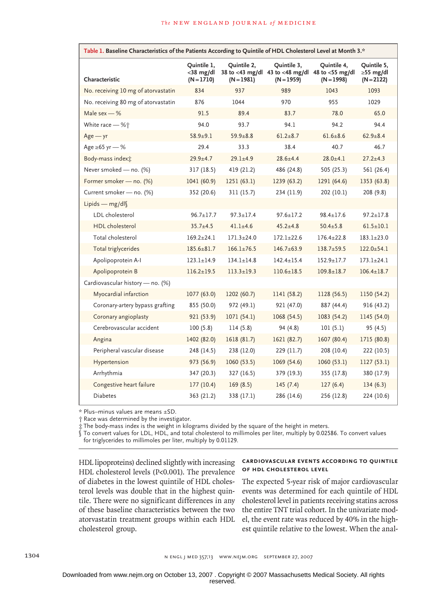| Table 1. Baseline Characteristics of the Patients According to Quintile of HDL Cholesterol Level at Month 3.* |                             |                                                                                          |                             |                             |                                                |  |  |  |
|---------------------------------------------------------------------------------------------------------------|-----------------------------|------------------------------------------------------------------------------------------|-----------------------------|-----------------------------|------------------------------------------------|--|--|--|
| Characteristic                                                                                                | Quintile 1,<br>$(N = 1710)$ | Quintile 2,<br><38 mg/dl 38 to <43 mg/dl 43 to <48 mg/dl 48 to <55 mg/dl<br>$(N = 1981)$ | Quintile 3,<br>$(N = 1959)$ | Quintile 4,<br>$(N = 1998)$ | Quintile 5,<br>$\geq$ 55 mg/dl<br>$(N = 2122)$ |  |  |  |
| No. receiving 10 mg of atorvastatin                                                                           | 834                         | 937                                                                                      | 989                         | 1043                        | 1093                                           |  |  |  |
| No. receiving 80 mg of atorvastatin                                                                           | 876                         | 1044                                                                                     | 970                         | 955                         | 1029                                           |  |  |  |
| Male sex $-$ %                                                                                                | 91.5                        | 89.4                                                                                     | 83.7                        | 78.0                        | 65.0                                           |  |  |  |
| White race - %†                                                                                               | 94.0                        | 93.7                                                                                     | 94.1                        | 94.2                        | 94.4                                           |  |  |  |
| $Age - yr$                                                                                                    | $58.9 + 9.1$                | $59.9 + 8.8$                                                                             | $61.2 + 8.7$                | $61.6 + 8.6$                | $62.9 + 8.4$                                   |  |  |  |
| Age $\ge 65$ yr – %                                                                                           | 29.4                        | 33.3                                                                                     | 38.4                        | 40.7                        | 46.7                                           |  |  |  |
| Body-mass indext:                                                                                             | $29.9 + 4.7$                | $29.1 \pm 4.9$                                                                           | $28.6 \pm 4.4$              | $28.0 + 4.1$                | $27.2 + 4.3$                                   |  |  |  |
| Never smoked - no. (%)                                                                                        | 317(18.5)                   | 419 (21.2)                                                                               | 486 (24.8)                  | 505 (25.3)                  | 561 (26.4)                                     |  |  |  |
| Former smoker - no. (%)                                                                                       | 1041 (60.9)                 | 1251(63.1)                                                                               | 1239 (63.2)                 | 1291 (64.6)                 | 1353 (63.8)                                    |  |  |  |
| Current smoker - no. (%)                                                                                      | 352 (20.6)                  | 311 (15.7)                                                                               | 234 (11.9)                  | 202 (10.1)                  | 208 (9.8)                                      |  |  |  |
| Lipids $-\frac{mg}{d}$                                                                                        |                             |                                                                                          |                             |                             |                                                |  |  |  |
| LDL cholesterol                                                                                               | $96.7 \pm 17.7$             | $97.3 \pm 17.4$                                                                          | $97.6 \pm 17.2$             | $98.4 \pm 17.6$             | $97.2 \pm 17.8$                                |  |  |  |
| HDL cholesterol                                                                                               | $35.7 \pm 4.5$              | $41.1 \pm 4.6$                                                                           | $45.2 \pm 4.8$              | $50.4 \pm 5.8$              | $61.5 \pm 10.1$                                |  |  |  |
| Total cholesterol                                                                                             | $169.2 \pm 24.1$            | $171.3 + 24.0$                                                                           | $172.1 + 22.6$              | $176.4 \pm 22.8$            | $183.1 \pm 23.0$                               |  |  |  |
| Total triglycerides                                                                                           | $185.6 \pm 81.7$            | $166.1 \pm 76.5$                                                                         | $146.7 + 63.9$              | $138.7 + 59.5$              | $122.0 \pm 54.1$                               |  |  |  |
| Apolipoprotein A-I                                                                                            | $123.1 \pm 14.9$            | $134.1 \pm 14.8$                                                                         | $142.4 \pm 15.4$            | $152.9 \pm 17.7$            | $173.1 \pm 24.1$                               |  |  |  |
| Apolipoprotein B                                                                                              | $116.2 \pm 19.5$            | $113.3 \pm 19.3$                                                                         | $110.6 \pm 18.5$            | $109.8 \pm 18.7$            | $106.4 \pm 18.7$                               |  |  |  |
| Cardiovascular history - no. (%)                                                                              |                             |                                                                                          |                             |                             |                                                |  |  |  |
| Myocardial infarction                                                                                         | 1077 (63.0)                 | 1202 (60.7)                                                                              | 1141 (58.2)                 | 1128 (56.5)                 | 1150 (54.2)                                    |  |  |  |
| Coronary-artery bypass grafting                                                                               | 855 (50.0)                  | 972 (49.1)                                                                               | 921 (47.0)                  | 887 (44.4)                  | 916 (43.2)                                     |  |  |  |
| Coronary angioplasty                                                                                          | 921 (53.9)                  | 1071(54.1)                                                                               | 1068 (54.5)                 | 1083 (54.2)                 | 1145 (54.0)                                    |  |  |  |
| Cerebrovascular accident                                                                                      | 100(5.8)                    | 114(5.8)                                                                                 | 94 (4.8)                    | 101(5.1)                    | 95 (4.5)                                       |  |  |  |
| Angina                                                                                                        | 1402 (82.0)                 | 1618 (81.7)                                                                              | 1621 (82.7)                 | 1607 (80.4)                 | 1715 (80.8)                                    |  |  |  |
| Peripheral vascular disease                                                                                   | 248 (14.5)                  | 238 (12.0)                                                                               | 229 (11.7)                  | 208 (10.4)                  | 222 (10.5)                                     |  |  |  |
| Hypertension                                                                                                  | 973 (56.9)                  | 1060(53.5)                                                                               | 1069 (54.6)                 | 1060(53.1)                  | 1127(53.1)                                     |  |  |  |
| Arrhythmia                                                                                                    | 347 (20.3)                  | 327 (16.5)                                                                               | 379 (19.3)                  | 355 (17.8)                  | 380 (17.9)                                     |  |  |  |
| Congestive heart failure                                                                                      | 177(10.4)                   | 169(8.5)                                                                                 | 145(7.4)                    | 127(6.4)                    | 134(6.3)                                       |  |  |  |
| <b>Diabetes</b>                                                                                               | 363 (21.2)                  | 338 (17.1)                                                                               | 286 (14.6)                  | 256 (12.8)                  | 224 (10.6)                                     |  |  |  |

\* Plus–minus values are means ±SD.

† Race was determined by the investigator.

 $\ddot{\textbf{r}}$  The body-mass index is the weight in kilograms divided by the square of the height in meters.

§ To convert values for LDL, HDL, and total cholesterol to millimoles per liter, multiply by 0.02586. To convert values for triglycerides to millimoles per liter, multiply by 0.01129.

HDL lipoproteins) declined slightly with increasing HDL cholesterol levels (P<0.001). The prevalence of diabetes in the lowest quintile of HDL cholesterol levels was double that in the highest quintile. There were no significant differences in any of these baseline characteristics between the two atorvastatin treatment groups within each HDL cholesterol group.

# **Cardiovascular Events According to Quintile of HDL Cholesterol Level**

The expected 5-year risk of major cardiovascular events was determined for each quintile of HDL cholesterol level in patients receiving statins across the entire TNT trial cohort. In the univariate model, the event rate was reduced by 40% in the highest quintile relative to the lowest. When the anal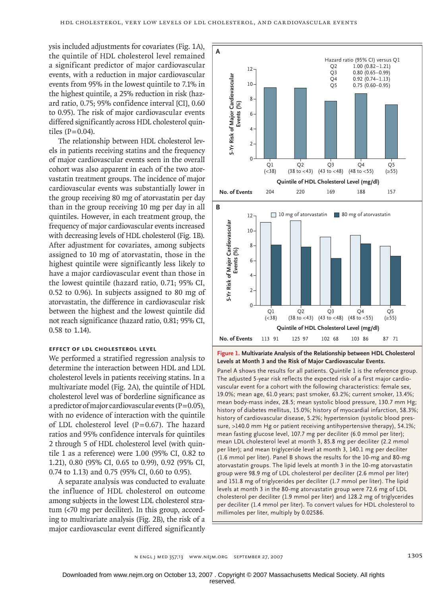ysis included adjustments for covariates (Fig. 1A), the quintile of HDL cholesterol level remained a significant predictor of major cardiovascular events, with a reduction in major cardiovascular events from 95% in the lowest quintile to 7.1% in the highest quintile, a 25% reduction in risk (hazard ratio, 0.75; 95% confidence interval [CI], 0.60 to 0.95). The risk of major cardiovascular events differed significantly across HDL cholesterol quintiles  $(P=0.04)$ .

The relationship between HDL cholesterol levels in patients receiving statins and the frequency of major cardiovascular events seen in the overall cohort was also apparent in each of the two atorvastatin treatment groups. The incidence of major cardiovascular events was substantially lower in the group receiving 80 mg of atorvastatin per day than in the group receiving 10 mg per day in all quintiles. However, in each treatment group, the frequency of major cardiovascular events increased with decreasing levels of HDL cholesterol (Fig. 1B). After adjustment for covariates, among subjects assigned to 10 mg of atorvastatin, those in the highest quintile were significantly less likely to have a major cardiovascular event than those in the lowest quintile (hazard ratio, 0.71; 95% CI, 0.52 to 0.96). In subjects assigned to 80 mg of atorvastatin, the difference in cardiovascular risk between the highest and the lowest quintile did not reach significance (hazard ratio, 0.81; 95% CI, 0.58 to 1.14).

# **Effect of LDL Cholesterol Level**

We performed a stratified regression analysis to determine the interaction between HDL and LDL cholesterol levels in patients receiving statins. In a multivariate model (Fig. 2A), the quintile of HDL cholesterol level was of borderline significance as a predictor of major cardiovascular events ( $P=0.05$ ), with no evidence of interaction with the quintile of LDL cholesterol level  $(P=0.67)$ . The hazard ratios and 95% confidence intervals for quintiles 2 through 5 of HDL cholesterol level (with quintile 1 as a reference) were 1.00 (95% CI, 0.82 to 1.21), 0.80 (95% CI, 0.65 to 0.99), 0.92 (95% CI, 0.74 to 1.13) and 0.75 (95% CI, 0.60 to 0.95).

A separate analysis was conducted to evaluate the influence of HDL cholesterol on outcome among subjects in the lowest LDL cholesterol stratum (<70 mg per deciliter). In this group, according to multivariate analysis (Fig. 2B), the risk of a major cardiovascular event differed significantly



Levels at Month 3 and the Risk of Major Cardiovascular Events. **Figure 1. Multivariate Analysis of the Relationship between HDL Cholesterol** 

s the results for all patients. Quintile 1 is the referei mean fasting glucose level, 107.7 mg per deciliter (6.0 mmol per liter); vascular event for a cohort with the following characteristics: female sex, 19.0%; mean age, 61.0 years; past smoker, 63.2%; current smoker, 13.4%; The adjusted 5-year risk reflects the expected risk of a first major cardiohistory of diabetes mellitus, 15.0%; history of myocardial infarction, 58.3%; **Please check carefully.** history of cardiovascular disease, 5.2%; hypertension (systolic blood pres-Panel A shows the results for all patients. Quintile 1 is the reference group. mean body-mass index, 28.5; mean systolic blood pressure, 130.7 mm Hg; sure, >140.0 mm Hg or patient receiving antihypertensive therapy), 54.1%; mean LDL cholesterol level at month 3, 85.8 mg per deciliter (2.2 mmol per liter); and mean triglyceride level at month 3, 140.1 mg per deciliter (1.6 mmol per liter). Panel B shows the results for the 10-mg and 80-mg atorvastatin groups. The lipid levels at month 3 in the 10-mg atorvastatin group were 98.9 mg of LDL cholesterol per deciliter (2.6 mmol per liter) and 151.8 mg of triglycerides per deciliter (1.7 mmol per liter). The lipid levels at month 3 in the 80-mg atorvastatin group were 72.6 mg of LDL cholesterol per deciliter (1.9 mmol per liter) and 128.2 mg of triglycerides per deciliter (1.4 mmol per liter). To convert values for HDL cholesterol to millimoles per liter, multiply by 0.02586.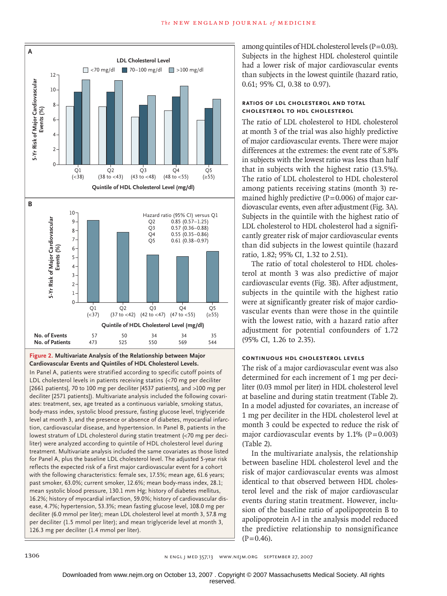

# **Cardiovascular Events and Quintiles of HDL Cholesterol Levels. Figure 2. Multivariate Analysis of the Relationship between Major**

In Panel A, patients were stratified according to specific cutoff points of lowest stratum of LDL cholesterol during statin treatment (<70 mg per deci-[2661 patients], 70 to 100 mg per deciliter [4537 patients], and >100 mg per deciliter [2571 patients]). Multivariate analysis included the following covari-LDL cholesterol levels in patients receiving statins (<70 mg per deciliter ates: treatment, sex, age treated as a continuous variable, smoking status, body-mass index, systolic blood pressure, fasting glucose level, triglyceride level at month 3, and the presence or absence of diabetes, myocardial infarclever at month 5, and the presence or absence or diabetes, inyocardial infarc<br>tion, cardiovascular disease, and hypertension. In Panel B, patients in the liter) were analyzed according to quintile of HDL cholesterol level during treatment. Multivariate analysis included the same covariates as those listed for Panel A, plus the baseline LDL cholesterol level. The adjusted 5-year risk reflects the expected risk of a first major cardiovascular event for a cohort with the following characteristics: female sex, 17.5%; mean age, 61.6 years; past smoker, 63.0%; current smoker, 12.6%; mean body-mass index, 28.1; mean systolic blood pressure, 130.1 mm Hg; history of diabetes mellitus, 16.2%; history of myocardial infarction, 59.0%; history of cardiovascular disease, 4.7%; hypertension, 53.3%; mean fasting glucose level, 108.0 mg per deciliter (6.0 mmol per liter); mean LDL cholesterol level at month 3, 57.8 mg per deciliter (1.5 mmol per liter); and mean triglyceride level at month 3, 126.3 mg per deciliter (1.4 mmol per liter).

among quintiles of HDL cholesterol levels  $(P=0.03)$ . Subjects in the highest HDL cholesterol quintile had a lower risk of major cardiovascular events than subjects in the lowest quintile (hazard ratio, 0.61; 95% CI, 0.38 to 0.97).

## **Ratios of LDL Cholesterol and Total Cholesterol to HDL Cholesterol**

The ratio of LDL cholesterol to HDL cholesterol at month 3 of the trial was also highly predictive of major cardiovascular events. There were major differences at the extremes: the event rate of 5.8% in subjects with the lowest ratio was less than half that in subjects with the highest ratio (13.5%). The ratio of LDL cholesterol to HDL cholesterol among patients receiving statins (month 3) remained highly predictive  $(P=0.006)$  of major cardiovascular events, even after adjustment (Fig. 3A). Subjects in the quintile with the highest ratio of LDL cholesterol to HDL cholesterol had a significantly greater risk of major cardiovascular events than did subjects in the lowest quintile (hazard ratio, 1.82; 95% CI, 1.32 to 2.51).

The ratio of total cholesterol to HDL cholesterol at month 3 was also predictive of major cardiovascular events (Fig. 3B). After adjustment, subjects in the quintile with the highest ratio were at significantly greater risk of major cardiovascular events than were those in the quintile with the lowest ratio, with a hazard ratio after adjustment for potential confounders of 1.72 (95% CI, 1.26 to 2.35).

# **Continuous HDL Cholesterol Levels**

The risk of a major cardiovascular event was also determined for each increment of 1 mg per deciliter (0.03 mmol per liter) in HDL cholesterol level at baseline and during statin treatment (Table 2). In a model adjusted for covariates, an increase of 1 mg per deciliter in the HDL cholesterol level at month 3 could be expected to reduce the risk of major cardiovascular events by  $1.1\%$  (P=0.003) (Table 2).

In the multivariate analysis, the relationship between baseline HDL cholesterol level and the risk of major cardiovascular events was almost identical to that observed between HDL cholesterol level and the risk of major cardiovascular events during statin treatment. However, inclusion of the baseline ratio of apolipoprotein B to apolipoprotein A-I in the analysis model reduced the predictive relationship to nonsignificance  $(P=0.46)$ .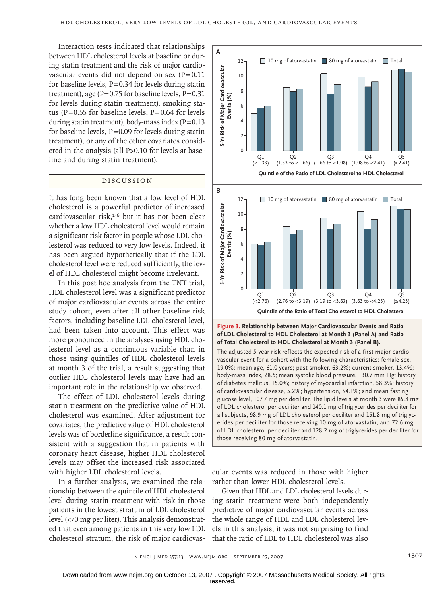Interaction tests indicated that relationships between HDL cholesterol levels at baseline or during statin treatment and the risk of major cardiovascular events did not depend on sex  $(P=0.11)$ for baseline levels,  $P=0.34$  for levels during statin treatment), age ( $P=0.75$  for baseline levels,  $P=0.31$ for levels during statin treatment), smoking status ( $P=0.55$  for baseline levels,  $P=0.64$  for levels during statin treatment), body-mass index  $(P=0.13)$ for baseline levels,  $P=0.09$  for levels during statin treatment), or any of the other covariates considered in the analysis (all P>0.10 for levels at baseline and during statin treatment).

#### Discussion

It has long been known that a low level of HDL cholesterol is a powerful predictor of increased cardiovascular risk,<sup>1-6</sup> but it has not been clear whether a low HDL cholesterol level would remain a significant risk factor in people whose LDL cholesterol was reduced to very low levels. Indeed, it has been argued hypothetically that if the LDL cholesterol level were reduced sufficiently, the level of HDL cholesterol might become irrelevant.

In this post hoc analysis from the TNT trial, HDL cholesterol level was a significant predictor of major cardiovascular events across the entire study cohort, even after all other baseline risk factors, including baseline LDL cholesterol level, had been taken into account. This effect was more pronounced in the analyses using HDL cholesterol level as a continuous variable than in those using quintiles of HDL cholesterol levels at month 3 of the trial, a result suggesting that outlier HDL cholesterol levels may have had an important role in the relationship we observed.

The effect of LDL cholesterol levels during statin treatment on the predictive value of HDL cholesterol was examined. After adjustment for covariates, the predictive value of HDL cholesterol levels was of borderline significance, a result consistent with a suggestion that in patients with coronary heart disease, higher HDL cholesterol levels may offset the increased risk associated with higher LDL cholesterol levels.

In a further analysis, we examined the relationship between the quintile of HDL cholesterol level during statin treatment with risk in those patients in the lowest stratum of LDL cholesterol level (<70 mg per liter). This analysis demonstrated that even among patients in this very low LDL cholesterol stratum, the risk of major cardiovas-



of LDL Cholesterol to HDL Cholesterol at Month 3 (Panel A) and Ratio of Total Cholesterol to HDL Cholesterol at Month 3 (Panel B). **Figure 3. Relationship between Major Cardiovascular Events and Ratio** 

of LDL cholesterol per deciliter and 140.1 mg of triglycerides per deciliter for vascular event for a cohort with the following characteristics: female sex, 19.0%; mean age, 61.0 years; past smoker, 63.2%; current smoker, 13.4%; The adjusted 5-year risk reflects the expected risk of a first major cardiobody-mass index, 28.5; mean systolic blood pressure, 130.7 mm Hg; history of diabetes mellitus, 15.0%; history of myocardial infarction, 58.3%; history **Figure has been redrawn and type has been reset. Please check carefully.** of cardiovascular disease, 5.2%; hypertension, 54.1%; and mean fasting glucose level, 107.7 mg per deciliter. The lipid levels at month 3 were 85.8 mg all subjects, 98.9 mg of LDL cholesterol per deciliter and 151.8 mg of triglycerides per deciliter for those receiving 10 mg of atorvastatin, and 72.6 mg of LDL cholesterol per deciliter and 128.2 mg of triglycerides per deciliter for those receiving 80 mg of atorvastatin.

cular events was reduced in those with higher rather than lower HDL cholesterol levels.

Given that HDL and LDL cholesterol levels during statin treatment were both independently predictive of major cardiovascular events across the whole range of HDL and LDL cholesterol levels in this analysis, it was not surprising to find that the ratio of LDL to HDL cholesterol was also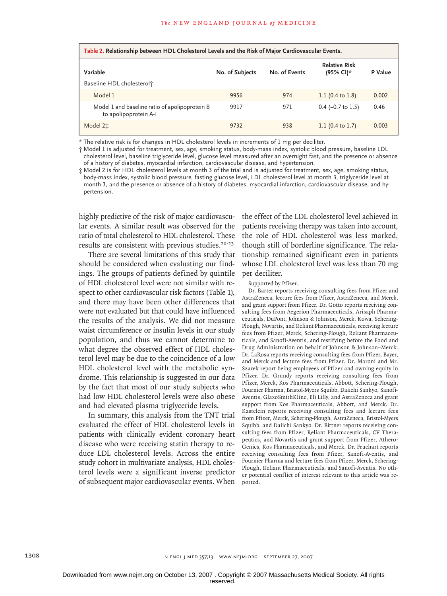| Table 2. Relationship between HDL Cholesterol Levels and the Risk of Major Cardiovascular Events. |                 |               |                                   |         |  |  |  |
|---------------------------------------------------------------------------------------------------|-----------------|---------------|-----------------------------------|---------|--|--|--|
| Variable                                                                                          | No. of Subjects | No. of Events | <b>Relative Risk</b><br>(95% CI)* | P Value |  |  |  |
| Baseline HDL cholesterol <sup>+</sup>                                                             |                 |               |                                   |         |  |  |  |
| Model 1                                                                                           | 9956            | 974           | 1.1 $(0.4 \text{ to } 1.8)$       | 0.002   |  |  |  |
| Model 1 and baseline ratio of apolipoprotein B<br>to apolipoprotein A-I                           | 9917            | 971           | $0.4$ (-0.7 to 1.5)               | 0.46    |  |  |  |
| Model 2 <sup>t</sup>                                                                              | 9732            | 938           | 1.1 $(0.4 \text{ to } 1.7)$       | 0.003   |  |  |  |

\* The relative risk is for changes in HDL cholesterol levels in increments of 1 mg per deciliter.

† Model 1 is adjusted for treatment, sex, age, smoking status, body-mass index, systolic blood pressure, baseline LDL cholesterol level, baseline triglyceride level, glucose level measured after an overnight fast, and the presence or absence of a history of diabetes, myocardial infarction, cardiovascular disease, and hypertension.

‡ Model 2 is for HDL cholesterol levels at month 3 of the trial and is adjusted for treatment, sex, age, smoking status, body-mass index, systolic blood pressure, fasting glucose level, LDL cholesterol level at month 3, triglyceride level at month 3, and the presence or absence of a history of diabetes, myocardial infarction, cardiovascular disease, and hypertension.

highly predictive of the risk of major cardiovascular events. A similar result was observed for the ratio of total cholesterol to HDL cholesterol. These results are consistent with previous studies.20-23

There are several limitations of this study that should be considered when evaluating our findings. The groups of patients defined by quintile of HDL cholesterol level were not similar with respect to other cardiovascular risk factors (Table 1), and there may have been other differences that were not evaluated but that could have influenced the results of the analysis. We did not measure waist circumference or insulin levels in our study population, and thus we cannot determine to what degree the observed effect of HDL cholesterol level may be due to the coincidence of a low HDL cholesterol level with the metabolic syndrome. This relationship is suggested in our data by the fact that most of our study subjects who had low HDL cholesterol levels were also obese and had elevated plasma triglyceride levels.

In summary, this analysis from the TNT trial evaluated the effect of HDL cholesterol levels in patients with clinically evident coronary heart disease who were receiving statin therapy to reduce LDL cholesterol levels. Across the entire study cohort in multivariate analysis, HDL cholesterol levels were a significant inverse predictor of subsequent major cardiovascular events. When

the effect of the LDL cholesterol level achieved in patients receiving therapy was taken into account, the role of HDL cholesterol was less marked, though still of borderline significance. The relationship remained significant even in patients whose LDL cholesterol level was less than 70 mg per deciliter.

#### Supported by Pfizer.

Dr. Barter reports receiving consulting fees from Pfizer and AstraZeneca, lecture fees from Pfizer, AstraZeneca, and Merck, and grant support from Pfizer. Dr. Gotto reports receiving consulting fees from Aegerion Pharmaceuticals, Arisaph Pharmaceuticals, DuPont, Johnson & Johnson, Merck, Kowa, Schering-Plough, Novartis, and Reliant Pharmaceuticals, receiving lecture fees from Pfizer, Merck, Schering-Plough, Reliant Pharmaceuticals, and Sanofi-Aventis, and testifying before the Food and Drug Administration on behalf of Johnson & Johnson–Merck. Dr. LaRosa reports receiving consulting fees from Pfizer, Bayer, and Merck and lecture fees from Pfizer. Dr. Maroni and Mr. Szarek report being employees of Pfizer and owning equity in Pfizer. Dr. Grundy reports receiving consulting fees from Pfizer, Merck, Kos Pharmaceuticals, Abbott, Schering-Plough, Fournier Pharma, Bristol-Myers Squibb, Daiichi Sankyo, Sanofi-Aventis, GlaxoSmithKline, Eli Lilly, and AstraZeneca and grant support from Kos Pharmaceuticals, Abbott, and Merck. Dr. Kastelein reports receiving consulting fees and lecture fees from Pfizer, Merck, Schering-Plough, AstraZeneca, Bristol-Myers Squibb, and Daiichi Sankyo. Dr. Bittner reports receiving consulting fees from Pfizer, Reliant Pharmaceuticals, CV Therapeutics, and Novartis and grant support from Pfizer, Athero-Genics, Kos Pharmaceuticals, and Merck. Dr. Fruchart reports receiving consulting fees from Pfizer, Sanofi-Aventis, and Fournier Pharma and lecture fees from Pfizer, Merck, Schering-Plough, Reliant Pharmaceuticals, and Sanofi-Aventis. No other potential conflict of interest relevant to this article was reported.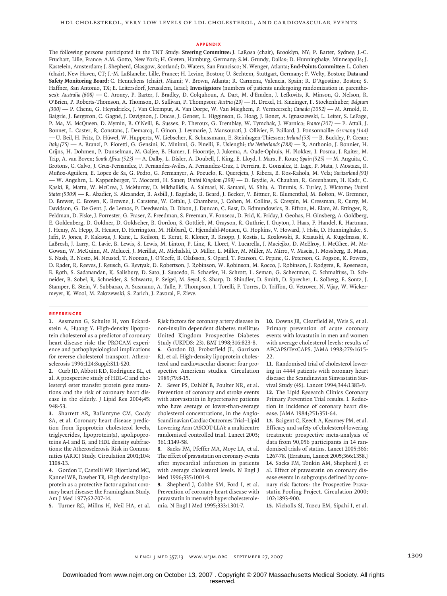#### **APPENDIX**

The following persons participated in the TNT Study: **Steering Committee:** J. LaRosa (chair), Brooklyn, NY; P. Barter, Sydney; J.-C. Fruchart, Lille, France; A.M. Gotto, New York; H. Greten, Hamburg, Germany; S.M. Grundy, Dallas; D. Hunninghake, Minneapolis; J. Kastelein, Amsterdam; J. Shepherd, Glasgow, Scotland; D. Waters, San Francisco; N. Wenger, Atlanta; **End-Points Committee:** L. Cohen (chair), New Haven, CT; J.-M. LaBlanche, Lille, France; H. Levine, Boston; U. Sechtem, Stuttgart, Germany; F. Welty, Boston; **Data and Safety Monitoring Board:** C. Hennekens (chair), Miami; V. Brown, Atlanta; R. Carmena, Valencia, Spain; R. D'Agostino, Boston; S. Haffner, San Antonio, TX; E. Leitersdorf, Jerusalem, Israel; **Investigators** (numbers of patients undergoing randomization in parentheses): *Australia (608)* — C. Aroney, P. Barter, J. Bradley, D. Colquhoun, A. Dart, M. d'Emden, J. Lefkovits, R. Minson, G. Nelson, R. O'Brien, P. Roberts-Thomson, A. Thomson, D. Sullivan, P. Thompson; *Austria (29)* — H. Drexel, H. Sinzinger, F. Stockenhuber; *Belgium (300)* — P. Chenu, G. Heyndrickx, J. Van Cleemput, A. Van Dorpe, W. Van Mieghem, P. Vermeersch; *Canada (1052)* — M. Arnold, R. Baigrie, J. Bergeron, C. Gagné, J. Davignon, J. Ducas, J. Genest, L. Higginson, G. Hoag, J. Bonet, A. Ignaszewski, L. Leiter, S. LePage, P. Ma, M. McQueen, D. Mymin, B. O'Neill, B. Sussex, P. Theroux, G. Tremblay, W. Tymchak, J. Warnica; *France (207)* — P. Attali, J. Bonnet, L. Caster, R. Constans, J. Demarcq, I. Ginon, J. Leymarie, J. Mansourati, J. Ollivier, F. Paillard, J. Ponsonnaille; *Germany (144)* — U. Beil, H. Fritz, D. Hüwel, W. Huppertz, W. Liebscher, K. Schussmann, E. Steinhagen-Thiessen; *Ireland (53)* — B. Buckley, P. Crean; *Italy (75)* — A. Branzi, P. Fioretti, G. Gensini, N. Mininni, G. Pinelli, E. Uslenghi; t*he Netherlands (788)* — R. Anthonio, J. Bonnier, H. Crijns, H. Dohmen, P. Dunselman, M. Galjee, B. Hamer, J. Hoorntje, J. Jukema, A. Oude-Ophuis, H. Plokker, J. Posma, J. Ruiter, M. Trip, A. van Boven; *South Africa (523)* — A. Dalby, L. Disler, A. Doubell, J. King, E. Lloyd, J. Marx, P. Roux; *Spain (525)* — M. Anguita, C. Brotons, C. Calvo, J. Cruz-Fernandez, F. Fernandez-Aviles, A. Fernandez-Cruz, I. Ferreira, E. Gonzalez, E. Lage, P. Mata, J. Mostaza, R. Muñoz-Aguilera, E. Lopez de Sa, G. Pedro, G. Permanyer, A. Pozuelo, R. Querejeta, J. Ribera, E. Ros-Rahola, M. Vela; *Switzerland (91)* — W. Angehrn, L. Kappenberger, T. Moccetti, H. Saner; *United Kingdom (299)* — D. Brydie, A. Chauhan, R. Greenbaum, H. Kadr, C. Kaski, R. Mattu, W. McCrea, J. McMurray, D. Mikhailidis, A. Salmasi, N. Samani, M. Shiu, A. Timmis, S. Turley, J. Wictome; *United States (5309)* — R. Abadier, S. Alexander, B. Asbill, J. Bagdade, B. Beard, J. Becker, V. Bittner, R. Blumenthal, M. Bolton, W. Bremner, D. Brewer, C. Brown, K. Browne, J. Carstens, W. Cefalu, J. Chambers, J. Cohen, M. Collins, S. Crespin, M. Cressman, R. Curry, M. Davidson, G. De Gent, J. de Lemos, P. Deedwania, D. Dixon, J. Duncan, C. East, D. Edmundowicz, B. Effron, M. Elam, M. Ettinger, R. Feldman, D. Fiske, J. Forrester, G. Fraser, Z. Freedman, S. Freeman, V. Fonseca, D. Frid, K. Friday, J. Geohas, H. Ginsberg, A. Goldberg, E. Goldenberg, D. Goldner, D. Goldscher, B. Gordon, S. Gottlieb, M. Grayson, R. Guthrie, J. Guyton, J. Haas, F. Handel, R. Hartman, J. Henry, M. Hepp, R. Heuser, D. Herrington, M. Hibbard, C. Hjemdahl-Monsen, G. Hopkins, V. Howard, J. Hsia, D. Hunninghake, S. Jafri, P. Jones, P. Kakavas, J. Kane, L. Keilson, E. Kerut, R. Kloner, R. Knopp, J. Kostis, L. Kozlowski, R. Krasuski, A. Kugelmass, K. LaBresh, J. Larry, C. Lavie, B. Lewis, S. Lewis, M. Linton, P. Linz, R. Lloret, V. Lucarella, J. Maciejko, D. McElroy, J. McGhee, M. Mc-Gowan, W. McGuinn, M. Melucci, J. Merillat, M. Michalski, D. Miller, L. Miller, M. Miller, M. Mirro, V. Miscia, J. Mossberg, B. Musa, S. Nash, R. Nesto, M. Neustel, T. Noonan, J. O'Keefe, B. Olafsson, S. Oparil, T. Pearson, C. Pepine, G. Peterson, G. Pogson, K. Powers, D. Rader, R. Reeves, J. Reusch, G. Revtyak, D. Robertson, J. Robinson, W. Robinson, M. Rocco, J. Robinson, J. Rodgers, R. Rosenson, E. Roth, S. Sadanandan, K. Salisbury, D. Sato, J. Saucedo, E. Schaefer, H. Schrott, L. Seman, G. Schectman, C. Schmalfuss, D. Schneider, B. Sobel, R. Schneider, S. Schwartz, P. Seigel, M. Seyal, S. Sharp, D. Shindler, D. Smith, D. Sprecher, L. Solberg, E. Sontz, J. Stamper, E. Stein, V. Subbarao, A. Susmano, A. Talle, P. Thompson, J. Torelli, F. Torres, D. Triffon, G. Vetrovec, N. Vijay, W. Wickermeyer, K. Wool, M. Zakrzewski, S. Zarich, J. Zavoral, F. Zieve.

#### **References**

Assmann G, Schulte H, von Eckard-**1.** stein A, Huang Y. High-density lipoprotein cholesterol as a predictor of coronary heart disease risk: the PROCAM experience and pathophysiological implications for reverse cholesterol transport. Atherosclerosis 1996;124:Suppl:S11-S20.

Curb JD, Abbott RD, Rodriguez BL, et **2.** al. A prospective study of HDL-C and cholesteryl ester transfer protein gene mutations and the risk of coronary heart disease in the elderly. J Lipid Res 2004;45: 948-53.

Sharrett AR, Ballantyne CM, Coady **3.** SA, et al. Coronary heart disease prediction from lipoprotein cholesterol levels, triglycerides, lipoprotein(a), apolipoproteins A-I and B, and HDL density subfractions: the Atherosclerosis Risk in Communities (ARIC) Study. Circulation 2001;104: 1108-13.

Gordon T, Castelli WP, Hjortland MC, **4.** Kannel WB, Dawber TR. High density lipoprotein as a protective factor against coronary heart disease: the Framingham Study. Am J Med 1977;62:707-14.

**5.** Turner RC, Millns H, Neil HA, et al.

Risk factors for coronary artery disease in non-insulin dependent diabetes mellitus: United Kingdom Prospective Diabetes Study (UKPDS: 23). BMJ 1998;316:823-8. Gordon DJ, Probstfield JL, Garrison **6.** RJ, et al. High-density lipoprotein cholesterol and cardiovascular disease: four prospective American studies. Circulation 1989;79:8-15.

**7.** Sever PS, Dahlöf B, Poulter NR, et al. Prevention of coronary and stroke events with atorvastatin in hypertensive patients who have average or lower-than-average cholesterol concentrations, in the Anglo-Scandinavian Cardiac Outcomes Trial–Lipid Lowering Arm (ASCOT-LLA): a multicentre randomised controlled trial. Lancet 2003; 361:1149-58.

Sacks FM, Pfeffer MA, Moye LA, et al. **8.** The effect of pravastatin on coronary events after myocardial infarction in patients with average cholesterol levels. N Engl J Med 1996;335:1001-9.

**9.** Shepherd J, Cobbe SM, Ford I, et al. Prevention of coronary heart disease with pravastatin in men with hypercholesterolemia. N Engl J Med 1995;333:1301-7.

10. Downs JR, Clearfield M, Weis S, et al. Primary prevention of acute coronary events with lovastatin in men and women with average cholesterol levels: results of AFCAPS/TexCAPS. JAMA 1998;279:1615- 22.

11. Randomised trial of cholesterol lowering in 4444 patients with coronary heart disease: the Scandinavian Simvastatin Survival Study (4S). Lancet 1994;344:1383-9. 12. The Lipid Research Clinics Coronary Primary Prevention Trial results. I. Reduction in incidence of coronary heart disease. JAMA 1984;251:351-64.

13. Baigent C, Keech A, Kearney PM, et al. Efficacy and safety of cholesterol-lowering treatment: prospective meta-analysis of data from 90,056 participants in 14 randomised trials of statins. Lancet 2005;366: 1267-78. [Erratum, Lancet 2005;366:1358.] 14. Sacks FM, Tonkin AM, Shepherd J, et al. Effect of pravastatin on coronary disease events in subgroups defined by coronary risk factors: the Prospective Pravastatin Pooling Project. Circulation 2000; 102:1893-900.

15. Nicholls SJ, Tuzcu EM, Sipahi I, et al.